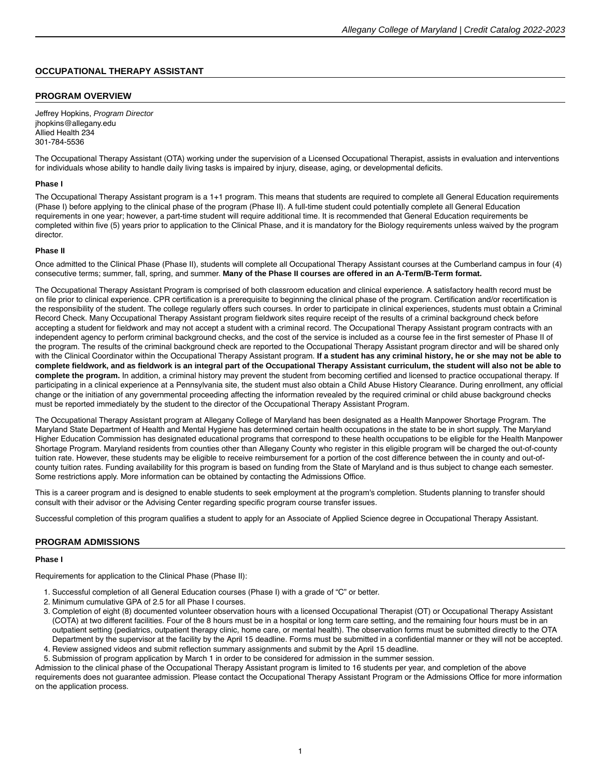### **OCCUPATIONAL THERAPY ASSISTANT**

#### **PROGRAM OVERVIEW**

Jeffrey Hopkins, Program Director jhopkins@allegany.edu Allied Health 234 301-784-5536

The Occupational Therapy Assistant (OTA) working under the supervision of a Licensed Occupational Therapist, assists in evaluation and interventions for individuals whose ability to handle daily living tasks is impaired by injury, disease, aging, or developmental deficits.

#### **Phase I**

The Occupational Therapy Assistant program is a 1+1 program. This means that students are required to complete all General Education requirements (Phase I) before applying to the clinical phase of the program (Phase II). A full-time student could potentially complete all General Education requirements in one year; however, a part-time student will require additional time. It is recommended that General Education requirements be completed within five (5) years prior to application to the Clinical Phase, and it is mandatory for the Biology requirements unless waived by the program director.

#### **Phase II**

Once admitted to the Clinical Phase (Phase II), students will complete all Occupational Therapy Assistant courses at the Cumberland campus in four (4) consecutive terms; summer, fall, spring, and summer. **Many of the Phase II courses are offered in an A-Term/B-Term format.**

The Occupational Therapy Assistant Program is comprised of both classroom education and clinical experience. A satisfactory health record must be on file prior to clinical experience. CPR certification is a prerequisite to beginning the clinical phase of the program. Certification and/or recertification is the responsibility of the student. The college regularly offers such courses. In order to participate in clinical experiences, students must obtain a Criminal Record Check. Many Occupational Therapy Assistant program fieldwork sites require receipt of the results of a criminal background check before accepting a student for fieldwork and may not accept a student with a criminal record. The Occupational Therapy Assistant program contracts with an independent agency to perform criminal background checks, and the cost of the service is included as a course fee in the first semester of Phase II of the program. The results of the criminal background check are reported to the Occupational Therapy Assistant program director and will be shared only with the Clinical Coordinator within the Occupational Therapy Assistant program. **If a student has any criminal history, he or she may not be able to complete fieldwork, and as fieldwork is an integral part of the Occupational Therapy Assistant curriculum, the student will also not be able to complete the program.** In addition, a criminal history may prevent the student from becoming certified and licensed to practice occupational therapy. If participating in a clinical experience at a Pennsylvania site, the student must also obtain a Child Abuse History Clearance. During enrollment, any official change or the initiation of any governmental proceeding affecting the information revealed by the required criminal or child abuse background checks must be reported immediately by the student to the director of the Occupational Therapy Assistant Program.

The Occupational Therapy Assistant program at Allegany College of Maryland has been designated as a Health Manpower Shortage Program. The Maryland State Department of Health and Mental Hygiene has determined certain health occupations in the state to be in short supply. The Maryland Higher Education Commission has designated educational programs that correspond to these health occupations to be eligible for the Health Manpower Shortage Program. Maryland residents from counties other than Allegany County who register in this eligible program will be charged the out-of-county tuition rate. However, these students may be eligible to receive reimbursement for a portion of the cost difference between the in county and out-ofcounty tuition rates. Funding availability for this program is based on funding from the State of Maryland and is thus subject to change each semester. Some restrictions apply. More information can be obtained by contacting the Admissions Office.

This is a career program and is designed to enable students to seek employment at the program's completion. Students planning to transfer should consult with their advisor or the Advising Center regarding specific program course transfer issues.

Successful completion of this program qualifies a student to apply for an Associate of Applied Science degree in Occupational Therapy Assistant.

#### **PROGRAM ADMISSIONS**

#### **Phase I**

Requirements for application to the Clinical Phase (Phase II):

- 1. Successful completion of all General Education courses (Phase I) with a grade of "C" or better.
- 2. Minimum cumulative GPA of 2.5 for all Phase I courses.
- 3. Completion of eight (8) documented volunteer observation hours with a licensed Occupational Therapist (OT) or Occupational Therapy Assistant (COTA) at two different facilities. Four of the 8 hours must be in a hospital or long term care setting, and the remaining four hours must be in an outpatient setting (pediatrics, outpatient therapy clinic, home care, or mental health). The observation forms must be submitted directly to the OTA Department by the supervisor at the facility by the April 15 deadline. Forms must be submitted in a confidential manner or they will not be accepted.
- 4. Review assigned videos and submit reflection summary assignments and submit by the April 15 deadline.

5. Submission of program application by March 1 in order to be considered for admission in the summer session. Admission to the clinical phase of the Occupational Therapy Assistant program is limited to 16 students per year, and completion of the above requirements does not guarantee admission. Please contact the Occupational Therapy Assistant Program or the Admissions Office for more information on the application process.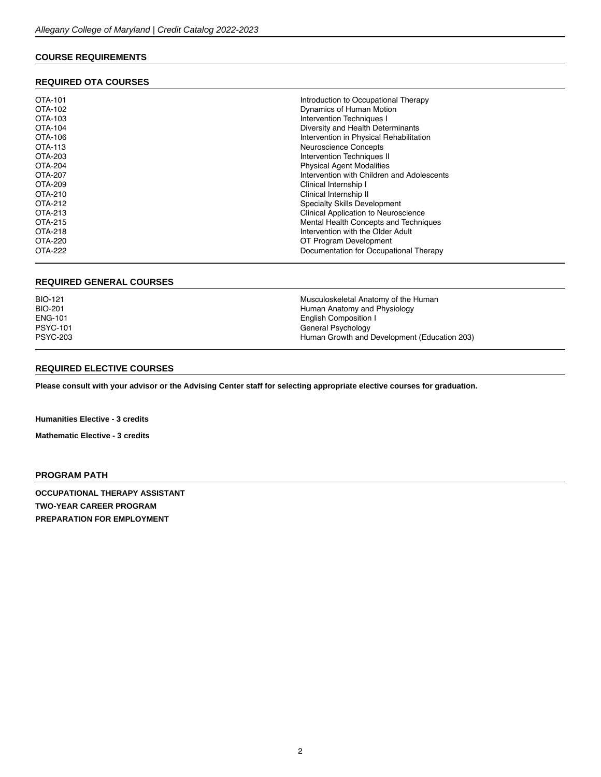# **COURSE REQUIREMENTS**

## **REQUIRED OTA COURSES**

| OTA-101        | Introduction to Occupational Therapy       |
|----------------|--------------------------------------------|
|                |                                            |
| OTA-102        | Dynamics of Human Motion                   |
| OTA-103        | Intervention Techniques I                  |
| OTA-104        | Diversity and Health Determinants          |
| OTA-106        | Intervention in Physical Rehabilitation    |
| <b>OTA-113</b> | Neuroscience Concepts                      |
| OTA-203        | Intervention Techniques II                 |
| OTA-204        | <b>Physical Agent Modalities</b>           |
| OTA-207        | Intervention with Children and Adolescents |
| OTA-209        | Clinical Internship I                      |
| OTA-210        | Clinical Internship II                     |
| OTA-212        | Specialty Skills Development               |
| OTA-213        | Clinical Application to Neuroscience       |
| OTA-215        | Mental Health Concepts and Techniques      |
| OTA-218        | Intervention with the Older Adult          |
| OTA-220        | OT Program Development                     |
| OTA-222        | Documentation for Occupational Therapy     |

### **REQUIRED GENERAL COURSES**

| Musculoskeletal Anatomy of the Human<br>Human Anatomy and Physiology<br>English Composition I<br>General Psychology |
|---------------------------------------------------------------------------------------------------------------------|
| Human Growth and Development (Education 203)                                                                        |
|                                                                                                                     |

#### **REQUIRED ELECTIVE COURSES**

**Please consult with your advisor or the Advising Center staff for selecting appropriate [elective courses](https://catalog.allegany.edu/current/degrees-and-programs/academic-information.html#electives) for graduation.**

**Humanities Elective - 3 credits**

**Mathematic Elective - 3 credits**

## **PROGRAM PATH**

**OCCUPATIONAL THERAPY ASSISTANT TWO-YEAR CAREER PROGRAM PREPARATION FOR EMPLOYMENT**